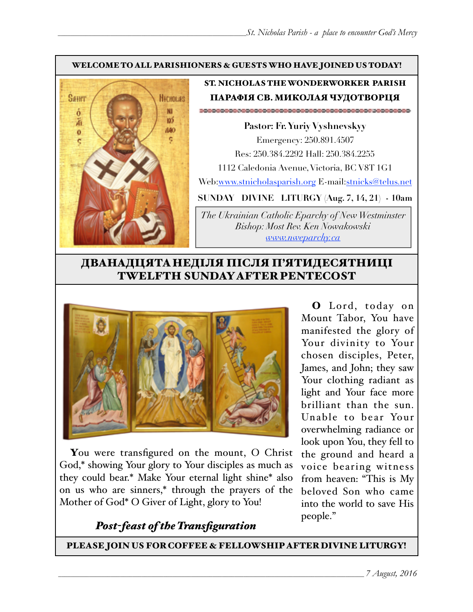#### WELCOME TO ALL PARISHIONERS & GUESTS WHO HAVE JOINED US TODAY!



#### ST. NICHOLAS THE WONDERWORKER PARISH ПАРАФІЯ СВ. МИКОЛАЯ ЧУДОТВОРЦЯ

**Pastor: Fr. Yuriy Vyshnevskyy** Emergency: 250.891.4507 Res: 250.384.2292 Hall: 250.384.2255 1112 Caledonia Avenue, Victoria, BC V8T 1G1 Web:[www.stnicholasparish.org](http://www.stnicholasparish.org) E-mail[:stnicks@telus.net](mailto:stnicks@telus.net)

**SUNDAY DIVINE LITURGY (Aug. 7, 14, 21) - 10am**

*The Ukrainian Catholic Eparchy of New Westminster Bishop: Most Rev. Ken Nowakowski [www.nweparchy.ca](http://www.nweparchy.ca)*

### ДВАНАДЦЯТАНЕДІЛЯ ПІСЛЯ П'ЯТИДЕСЯТНИЦІ TWELFTH SUNDAY AFTER PENTECOST



You were transfigured on the mount, O Christ God,\* showing Your glory to Your disciples as much as they could bear.\* Make Your eternal light shine\* also on us who are sinners,\* through the prayers of the Mother of God\* O Giver of Light, glory to You!

*Post-feast of the Transfiguration*

O Lord, today on Mount Tabor, You have manifested the glory of Your divinity to Your chosen disciples, Peter, James, and John; they saw Your clothing radiant as light and Your face more brilliant than the sun. Unable to bear Your overwhelming radiance or look upon You, they fell to the ground and heard a voice bearing witness from heaven: "This is My beloved Son who came into the world to save His people."

PLEASE JOIN US FOR COFFEE & FELLOWSHIP AFTER DIVINE LITURGY!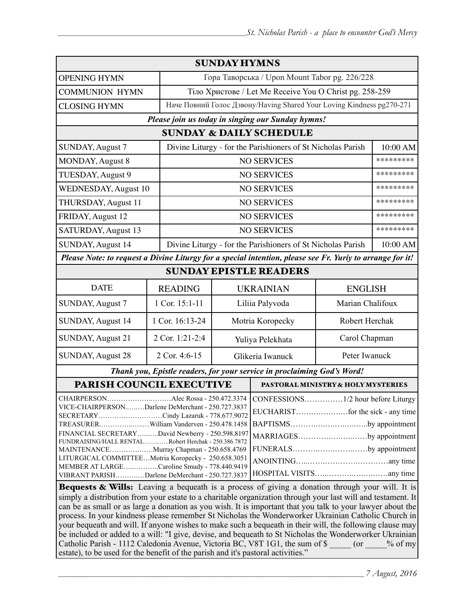| <b>SUNDAY HYMNS</b>                                                                                                                                                                                                                                                                                                                                                                                                                  |                 |                                                             |                                                                                                                     |                                                         |           |  |
|--------------------------------------------------------------------------------------------------------------------------------------------------------------------------------------------------------------------------------------------------------------------------------------------------------------------------------------------------------------------------------------------------------------------------------------|-----------------|-------------------------------------------------------------|---------------------------------------------------------------------------------------------------------------------|---------------------------------------------------------|-----------|--|
| <b>OPENING HYMN</b>                                                                                                                                                                                                                                                                                                                                                                                                                  |                 | Гора Таворська / Upon Mount Tabor pg. 226/228               |                                                                                                                     |                                                         |           |  |
| <b>COMMUNION HYMN</b>                                                                                                                                                                                                                                                                                                                                                                                                                |                 |                                                             |                                                                                                                     | Тіло Христове / Let Me Receive You O Christ pg. 258-259 |           |  |
| <b>CLOSING HYMN</b>                                                                                                                                                                                                                                                                                                                                                                                                                  |                 |                                                             | Наче Повний Голос Дзвону/Having Shared Your Loving Kindness pg270-271                                               |                                                         |           |  |
| Please join us today in singing our Sunday hymns!                                                                                                                                                                                                                                                                                                                                                                                    |                 |                                                             |                                                                                                                     |                                                         |           |  |
| <b>SUNDAY &amp; DAILY SCHEDULE</b>                                                                                                                                                                                                                                                                                                                                                                                                   |                 |                                                             |                                                                                                                     |                                                         |           |  |
| SUNDAY, August 7                                                                                                                                                                                                                                                                                                                                                                                                                     |                 |                                                             | Divine Liturgy - for the Parishioners of St Nicholas Parish                                                         |                                                         |           |  |
| MONDAY, August 8                                                                                                                                                                                                                                                                                                                                                                                                                     |                 | <b>NO SERVICES</b>                                          |                                                                                                                     | *********                                               |           |  |
| TUESDAY, August 9                                                                                                                                                                                                                                                                                                                                                                                                                    |                 |                                                             | <b>NO SERVICES</b>                                                                                                  |                                                         | ********* |  |
| <b>WEDNESDAY, August 10</b>                                                                                                                                                                                                                                                                                                                                                                                                          |                 |                                                             | <b>NO SERVICES</b>                                                                                                  |                                                         | ********* |  |
| THURSDAY, August 11                                                                                                                                                                                                                                                                                                                                                                                                                  |                 | <b>NO SERVICES</b>                                          |                                                                                                                     |                                                         | ********* |  |
| FRIDAY, August 12                                                                                                                                                                                                                                                                                                                                                                                                                    |                 | <b>NO SERVICES</b>                                          |                                                                                                                     |                                                         | ********* |  |
| SATURDAY, August 13                                                                                                                                                                                                                                                                                                                                                                                                                  |                 | <b>NO SERVICES</b>                                          |                                                                                                                     |                                                         | ********* |  |
| SUNDAY, August 14                                                                                                                                                                                                                                                                                                                                                                                                                    |                 | Divine Liturgy - for the Parishioners of St Nicholas Parish |                                                                                                                     |                                                         | 10:00 AM  |  |
| Please Note: to request a Divine Liturgy for a special intention, please see Fr. Yuriy to arrange for it!                                                                                                                                                                                                                                                                                                                            |                 |                                                             |                                                                                                                     |                                                         |           |  |
| <b>SUNDAY EPISTLE READERS</b>                                                                                                                                                                                                                                                                                                                                                                                                        |                 |                                                             |                                                                                                                     |                                                         |           |  |
| <b>DATE</b>                                                                                                                                                                                                                                                                                                                                                                                                                          | <b>READING</b>  | <b>UKRAINIAN</b>                                            |                                                                                                                     | <b>ENGLISH</b>                                          |           |  |
| <b>SUNDAY, August 7</b>                                                                                                                                                                                                                                                                                                                                                                                                              | 1 Cor. 15:1-11  | Liliia Palyvoda<br>Marian Chalifoux                         |                                                                                                                     |                                                         |           |  |
| SUNDAY, August 14                                                                                                                                                                                                                                                                                                                                                                                                                    | 1 Cor. 16:13-24 | Motria Koropecky                                            |                                                                                                                     | Robert Herchak                                          |           |  |
| SUNDAY, August 21                                                                                                                                                                                                                                                                                                                                                                                                                    | 2 Cor. 1:21-2:4 | Yuliya Pelekhata                                            |                                                                                                                     | Carol Chapman                                           |           |  |
| <b>SUNDAY, August 28</b>                                                                                                                                                                                                                                                                                                                                                                                                             | 2 Cor. 4:6-15   | Glikeria Iwanuck                                            |                                                                                                                     | Peter Iwanuck                                           |           |  |
| Thank you, Epistle readers, for your service in proclaiming God's Word!                                                                                                                                                                                                                                                                                                                                                              |                 |                                                             |                                                                                                                     |                                                         |           |  |
| PARISH COUNCIL EXECUTIVE                                                                                                                                                                                                                                                                                                                                                                                                             |                 |                                                             | PASTORAL MINISTRY & HOLY MYSTERIES                                                                                  |                                                         |           |  |
| <b>CHAIRPERSON.</b><br>VICE-CHAIRPERSONDarlene DeMerchant - 250.727.3837<br>SECRETARYCindy Lazaruk - 778.677.9072<br>TREASURERWilliam Vanderven - 250.478.1458<br>FINANCIAL SECRETARYDavid Newberry - 250.598.8197                                                                                                                                                                                                                   |                 |                                                             | Alec Rossa - 250.472.3374   CONFESSIONS1/2 hour before Liturgy<br>BAPTISMSby appointment<br>MARRIAGESby appointment |                                                         |           |  |
| FUNDRAISING/HALL RENTALRobert Herchak - 250.386.7872<br>MAINTENANCEMurray Chapman - 250.658.4769<br>LITURGICAL COMMITTEEMotria Koropecky - 250.658.3051                                                                                                                                                                                                                                                                              |                 |                                                             |                                                                                                                     | FUNERALSby appointment                                  |           |  |
| MEMBER AT LARGECaroline Smudy - 778.440.9419<br>VIBRANT PARISHDarlene DeMerchant - 250.727.3837                                                                                                                                                                                                                                                                                                                                      |                 |                                                             |                                                                                                                     |                                                         |           |  |
| Bequests & Wills: Leaving a bequeath is a process of giving a donation through your will. It is<br>simply a distribution from your estate to a charitable organization through your last will and testament. It<br>can be as small or as large a donation as you wish. It is important that you talk to your lawyer about the<br>process. In your kindness please remember St Nicholas the Wonderworker Ukrainian Catholic Church in |                 |                                                             |                                                                                                                     |                                                         |           |  |

your bequeath and will. If anyone wishes to make such a bequeath in their will, the following clause may be included or added to a will: "I give, devise, and bequeath to St Nicholas the Wonderworker Ukrainian Catholic Parish - 1112 Caledonia Avenue, Victoria BC, V8T 1G1, the sum of \$ \_\_\_\_\_ (or \_\_\_\_% of my estate), to be used for the benefit of the parish and it's pastoral activities."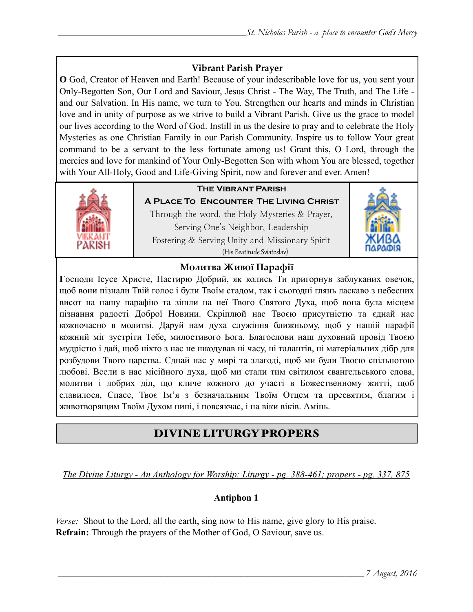#### **Vibrant Parish Prayer**

**O** God, Creator of Heaven and Earth! Because of your indescribable love for us, you sent your Only-Begotten Son, Our Lord and Saviour, Jesus Christ - The Way, The Truth, and The Life and our Salvation. In His name, we turn to You. Strengthen our hearts and minds in Christian love and in unity of purpose as we strive to build a Vibrant Parish. Give us the grace to model our lives according to the Word of God. Instill in us the desire to pray and to celebrate the Holy Mysteries as one Christian Family in our Parish Community. Inspire us to follow Your great command to be a servant to the less fortunate among us! Grant this, O Lord, through the mercies and love for mankind of Your Only-Begotten Son with whom You are blessed, together with Your All-Holy, Good and Life-Giving Spirit, now and forever and ever. Amen!



#### **The Vibrant Parish**

**A Place To Encounter The Living Christ** Through the word, the Holy Mysteries & Prayer, Serving One's Neighbor, Leadership Fostering & Serving Unity and Missionary Spirit (His Beatitude Sviatoslav)



#### **Молитва Живої Парафії**

**Г**осподи Ісусе Христе, Пастирю Добрий, як колись Ти пригорнув заблуканих овечок, щоб вони пізнали Твій голос і були Твоїм стадом, так і сьогодні глянь ласкаво з небесних висот на нашу парафію та зішли на неї Твого Святого Духа, щоб вона була місцем пізнання радості Доброї Новини. Скріплюй нас Твоєю присутністю та єднай нас кожночасно в молитві. Даруй нам духа служіння ближньому, щоб у нашій парафії кожний міг зустріти Тебе, милостивого Бога. Благослови наш духовний провід Твоєю мудрістю і дай, щоб ніхто з нас не шкодував ні часу, ні талантів, ні матеріальних дібр для розбудови Твого царства. Єднай нас у мирі та злагоді, щоб ми були Твоєю спільнотою любові. Всели в нас місійного духа, щоб ми стали тим світилом євангельського слова, молитви і добрих діл, що кличе кожного до участі в Божественному житті, щоб славилося, Спасе, Твоє Ім'я з безначальним Твоїм Отцем та пресвятим, благим і животворящим Твоїм Духом нині, і повсякчас, і на віки віків. Амінь.

### DIVINE LITURGY PROPERS

*The Divine Liturgy - An Anthology for Worship: Liturgy - pg. 388-461; propers - pg. 337, 875* 

#### **Antiphon 1**

*Verse:* Shout to the Lord, all the earth, sing now to His name, give glory to His praise. **Refrain:** Through the prayers of the Mother of God, O Saviour, save us.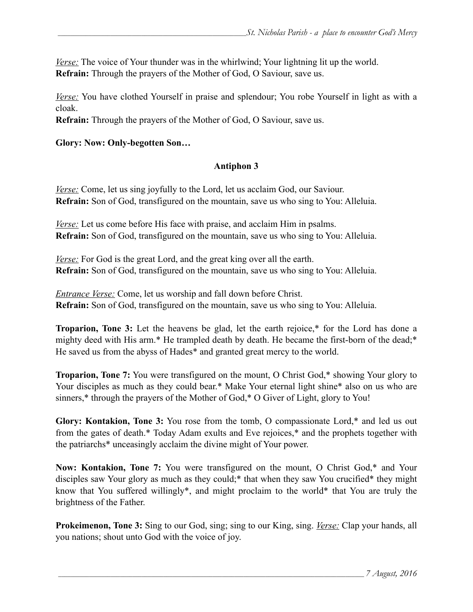*Verse:* The voice of Your thunder was in the whirlwind; Your lightning lit up the world. **Refrain:** Through the prayers of the Mother of God, O Saviour, save us.

*Verse:* You have clothed Yourself in praise and splendour; You robe Yourself in light as with a cloak.

**Refrain:** Through the prayers of the Mother of God, O Saviour, save us.

#### **Glory: Now: Only-begotten Son…**

#### **Antiphon 3**

*Verse:* Come, let us sing joyfully to the Lord, let us acclaim God, our Saviour. **Refrain:** Son of God, transfigured on the mountain, save us who sing to You: Alleluia.

*Verse:* Let us come before His face with praise, and acclaim Him in psalms. **Refrain:** Son of God, transfigured on the mountain, save us who sing to You: Alleluia.

*Verse:* For God is the great Lord, and the great king over all the earth. **Refrain:** Son of God, transfigured on the mountain, save us who sing to You: Alleluia.

*Entrance Verse:* Come, let us worship and fall down before Christ. **Refrain:** Son of God, transfigured on the mountain, save us who sing to You: Alleluia.

**Troparion, Tone 3:** Let the heavens be glad, let the earth rejoice,\* for the Lord has done a mighty deed with His arm.\* He trampled death by death. He became the first-born of the dead;\* He saved us from the abyss of Hades\* and granted great mercy to the world.

**Troparion, Tone 7:** You were transfigured on the mount, O Christ God,\* showing Your glory to Your disciples as much as they could bear.\* Make Your eternal light shine\* also on us who are sinners,\* through the prayers of the Mother of God,\* O Giver of Light, glory to You!

**Glory: Kontakion, Tone 3:** You rose from the tomb, O compassionate Lord,\* and led us out from the gates of death.\* Today Adam exults and Eve rejoices,\* and the prophets together with the patriarchs\* unceasingly acclaim the divine might of Your power.

**Now: Kontakion, Tone 7:** You were transfigured on the mount, O Christ God,\* and Your disciples saw Your glory as much as they could;\* that when they saw You crucified\* they might know that You suffered willingly\*, and might proclaim to the world\* that You are truly the brightness of the Father.

**Prokeimenon, Tone 3:** Sing to our God, sing; sing to our King, sing. *Verse:* Clap your hands, all you nations; shout unto God with the voice of joy.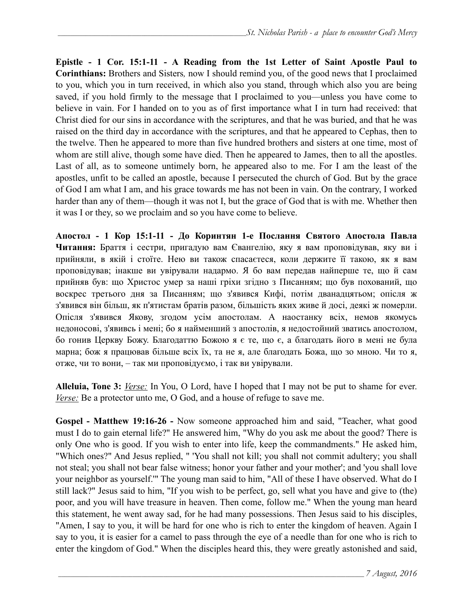**Epistle - 1 Cor. 15:1-11 - A Reading from the 1st Letter of Saint Apostle Paul to Corinthians:** Brothers and Sisters*,* now I should remind you, of the good news that I proclaimed to you, which you in turn received, in which also you stand, through which also you are being saved, if you hold firmly to the message that I proclaimed to you—unless you have come to believe in vain. For I handed on to you as of first importance what I in turn had received: that Christ died for our sins in accordance with the scriptures, and that he was buried, and that he was raised on the third day in accordance with the scriptures, and that he appeared to Cephas, then to the twelve. Then he appeared to more than five hundred brothers and sisters at one time, most of whom are still alive, though some have died. Then he appeared to James, then to all the apostles. Last of all, as to someone untimely born, he appeared also to me. For I am the least of the apostles, unfit to be called an apostle, because I persecuted the church of God. But by the grace of God I am what I am, and his grace towards me has not been in vain. On the contrary, I worked harder than any of them—though it was not I, but the grace of God that is with me. Whether then it was I or they, so we proclaim and so you have come to believe.

**Апостол - 1 Кор 15:1-11 - До Коринтян 1-e Послання Святого Апостола Павла Читання:** Браття і сестри, пригадую вам Євангелію, яку я вам проповідував, яку ви і прийняли, в якій і стоїте. Нею ви також спасаєтеся, коли держите її такою, як я вам проповідував; інакше ви увірували надармо. Я бо вам передав найперше те, що й сам прийняв був: що Христос умер за наші гріхи згідно з Писанням; що був похований, що воскрес третього дня за Писанням; що з'явився Кифі, потім дванадцятьом; опісля ж з'явився він більш, як п'ятистам братів разом, більшість яких живе й досі, деякі ж померли. Опісля з'явився Якову, згодом усім апостолам. А наостанку всіх, немов якомусь недоносові, з'явивсь і мені; бо я найменший з апостолів, я недостойний зватись апостолом, бо гонив Церкву Божу. Благодаттю Божою я є те, що є, а благодать його в мені не була марна; бож я працював більше всіх їх, та не я, але благодать Божа, що зо мною. Чи то я, отже, чи то вони, – так ми проповідуємо, і так ви увірували.

**Alleluia, Tone 3:** *Verse:* In You, O Lord, have I hoped that I may not be put to shame for ever. *Verse:* Be a protector unto me, O God, and a house of refuge to save me.

**Gospel - Мatthew 19:16-26 -** Now someone approached him and said, "Teacher, what good must I do to gain eternal life?" He answered him, "Why do you ask me about the good? There is only One who is good. If you wish to enter into life, keep the commandments." He asked him, "Which ones?" And Jesus replied, " 'You shall not kill; you shall not commit adultery; you shall not steal; you shall not bear false witness; honor your father and your mother'; and 'you shall love your neighbor as yourself.'" The young man said to him, "All of these I have observed. What do I still lack?" Jesus said to him, "If you wish to be perfect, go, sell what you have and give to (the) poor, and you will have treasure in heaven. Then come, follow me." When the young man heard this statement, he went away sad, for he had many possessions. Then Jesus said to his disciples, "Amen, I say to you, it will be hard for one who is rich to enter the kingdom of heaven. Again I say to you, it is easier for a camel to pass through the eye of a needle than for one who is rich to enter the kingdom of God." When the disciples heard this, they were greatly astonished and said,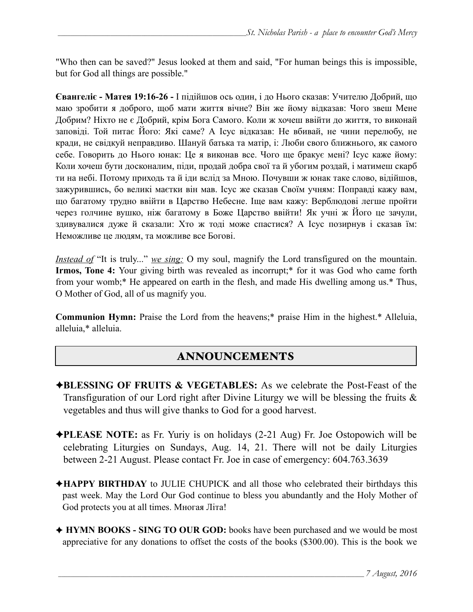"Who then can be saved?" Jesus looked at them and said, "For human beings this is impossible, but for God all things are possible."

**Євангеліє - Матея 19:16-26 -** І підійшов ось один, і до Нього сказав: Учителю Добрий, що маю зробити я доброго, щоб мати життя вічне? Він же йому відказав: Чого звеш Мене Добрим? Ніхто не є Добрий, крім Бога Самого. Коли ж хочеш ввійти до життя, то виконай заповіді. Той питає Його: Які саме? А Ісус відказав: Не вбивай, не чини перелюбу, не кради, не свідкуй неправдиво. Шануй батька та матір, і: Люби свого ближнього, як самого себе. Говорить до Нього юнак: Це я виконав все. Чого ще бракує мені? Ісус каже йому: Коли хочеш бути досконалим, піди, продай добра свої та й убогим роздай, і матимеш скарб ти на небі. Потому приходь та й іди вслід за Мною. Почувши ж юнак таке слово, відійшов, зажурившись, бо великі маєтки він мав. Ісус же сказав Своїм учням: Поправді кажу вам, що багатому трудно ввійти в Царство Небесне. Іще вам кажу: Верблюдові легше пройти через голчине вушко, ніж багатому в Боже Царство ввійти! Як учні ж Його це зачули, здивувалися дуже й сказали: Хто ж тоді може спастися? А Ісус позирнув і сказав їм: Неможливе це людям, та можливе все Богові.

*Instead of* "It is truly..." *we sing:* O my soul, magnify the Lord transfigured on the mountain. **Irmos, Tone 4:** Your giving birth was revealed as incorrupt;<sup>\*</sup> for it was God who came forth from your womb;\* He appeared on earth in the flesh, and made His dwelling among us.\* Thus, O Mother of God, all of us magnify you.

**Communion Hymn:** Praise the Lord from the heavens;\* praise Him in the highest.\* Alleluia, alleluia,\* alleluia.

## ANNOUNCEMENTS

- ✦**BLESSING OF FRUITS & VEGETABLES:** As we celebrate the Post-Feast of the Transfiguration of our Lord right after Divine Liturgy we will be blessing the fruits  $\&$ vegetables and thus will give thanks to God for a good harvest.
- ✦**PLEASE NOTE:** as Fr. Yuriy is on holidays (2-21 Aug) Fr. Joe Ostopowich will be celebrating Liturgies on Sundays, Aug. 14, 21. There will not be daily Liturgies between 2-21 August. Please contact Fr. Joe in case of emergency: 604.763.3639
- ✦**HAPPY BIRTHDAY** to JULIE CHUPICK and all those who celebrated their birthdays this past week. May the Lord Our God continue to bless you abundantly and the Holy Mother of God protects you at all times. Многая Літа!
- ✦ **HYMN BOOKS SING TO OUR GOD:** books have been purchased and we would be most appreciative for any donations to offset the costs of the books (\$300.00). This is the book we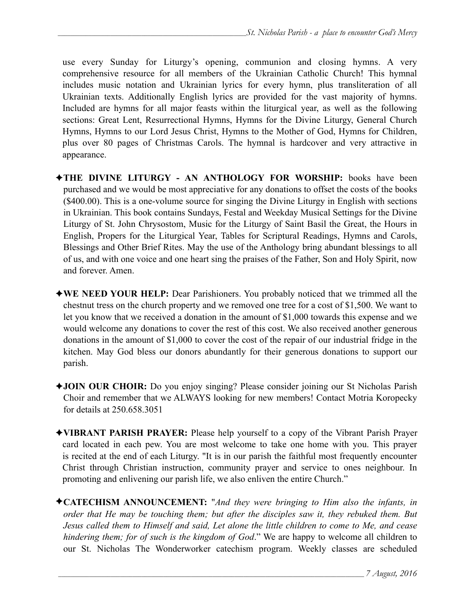use every Sunday for Liturgy's opening, communion and closing hymns. A very comprehensive resource for all members of the Ukrainian Catholic Church! This hymnal includes music notation and Ukrainian lyrics for every hymn, plus transliteration of all Ukrainian texts. Additionally English lyrics are provided for the vast majority of hymns. Included are hymns for all major feasts within the liturgical year, as well as the following sections: Great Lent, Resurrectional Hymns, Hymns for the Divine Liturgy, General Church Hymns, Hymns to our Lord Jesus Christ, Hymns to the Mother of God, Hymns for Children, plus over 80 pages of Christmas Carols. The hymnal is hardcover and very attractive in appearance.

- ✦**THE DIVINE LITURGY AN ANTHOLOGY FOR WORSHIP:** books have been purchased and we would be most appreciative for any donations to offset the costs of the books (\$400.00). This is a one-volume source for singing the Divine Liturgy in English with sections in Ukrainian. This book contains Sundays, Festal and Weekday Musical Settings for the Divine Liturgy of St. John Chrysostom, Music for the Liturgy of Saint Basil the Great, the Hours in English, Propers for the Liturgical Year, Tables for Scriptural Readings, Hymns and Carols, Blessings and Other Brief Rites. May the use of the Anthology bring abundant blessings to all of us, and with one voice and one heart sing the praises of the Father, Son and Holy Spirit, now and forever. Amen.
- ✦**WE NEED YOUR HELP:** Dear Parishioners. You probably noticed that we trimmed all the chestnut tress on the church property and we removed one tree for a cost of \$1,500. We want to let you know that we received a donation in the amount of \$1,000 towards this expense and we would welcome any donations to cover the rest of this cost. We also received another generous donations in the amount of \$1,000 to cover the cost of the repair of our industrial fridge in the kitchen. May God bless our donors abundantly for their generous donations to support our parish.
- ✦**JOIN OUR CHOIR:** Do you enjoy singing? Please consider joining our St Nicholas Parish Choir and remember that we ALWAYS looking for new members! Contact Motria Koropecky for details at 250.658.3051
- ✦**VIBRANT PARISH PRAYER:** Please help yourself to a copy of the Vibrant Parish Prayer card located in each pew. You are most welcome to take one home with you. This prayer is recited at the end of each Liturgy. "It is in our parish the faithful most frequently encounter Christ through Christian instruction, community prayer and service to ones neighbour. In promoting and enlivening our parish life, we also enliven the entire Church."
- ✦**CATECHISM ANNOUNCEMENT:** "*And they were bringing to Him also the infants, in order that He may be touching them; but after the disciples saw it, they rebuked them. But Jesus called them to Himself and said, Let alone the little children to come to Me, and cease hindering them; for of such is the kingdom of God*." We are happy to welcome all children to our St. Nicholas The Wonderworker catechism program. Weekly classes are scheduled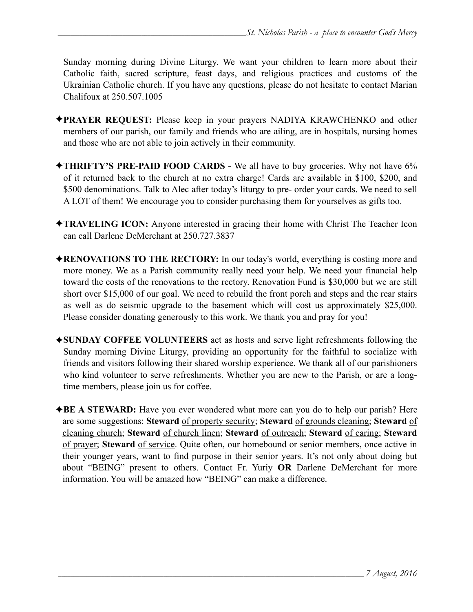Sunday morning during Divine Liturgy. We want your children to learn more about their Catholic faith, sacred scripture, feast days, and religious practices and customs of the Ukrainian Catholic church. If you have any questions, please do not hesitate to contact Marian Chalifoux at 250.507.1005

- ✦**PRAYER REQUEST:** Please keep in your prayers NADIYA KRAWCHENKO and other members of our parish, our family and friends who are ailing, are in hospitals, nursing homes and those who are not able to join actively in their community.
- ✦**THRIFTY'S PRE-PAID FOOD CARDS** We all have to buy groceries. Why not have 6% of it returned back to the church at no extra charge! Cards are available in \$100, \$200, and \$500 denominations. Talk to Alec after today's liturgy to pre- order your cards. We need to sell A LOT of them! We encourage you to consider purchasing them for yourselves as gifts too.
- ✦**TRAVELING ICON:** Anyone interested in gracing their home with Christ The Teacher Icon can call Darlene DeMerchant at 250.727.3837
- ✦**RENOVATIONS TO THE RECTORY:** In our today's world, everything is costing more and more money. We as a Parish community really need your help. We need your financial help toward the costs of the renovations to the rectory. Renovation Fund is \$30,000 but we are still short over \$15,000 of our goal. We need to rebuild the front porch and steps and the rear stairs as well as do seismic upgrade to the basement which will cost us approximately \$25,000. Please consider donating generously to this work. We thank you and pray for you!
- ✦**SUNDAY COFFEE VOLUNTEERS** act as hosts and serve light refreshments following the Sunday morning Divine Liturgy, providing an opportunity for the faithful to socialize with friends and visitors following their shared worship experience. We thank all of our parishioners who kind volunteer to serve refreshments. Whether you are new to the Parish, or are a longtime members, please join us for coffee.
- ✦**BE A STEWARD:** Have you ever wondered what more can you do to help our parish? Here are some suggestions: **Steward** of property security; **Steward** of grounds cleaning; **Steward** of cleaning church; **Steward** of church linen; **Steward** of outreach; **Steward** of caring; **Steward** of prayer; **Steward** of service. Quite often, our homebound or senior members, once active in their younger years, want to find purpose in their senior years. It's not only about doing but about "BEING" present to others. Contact Fr. Yuriy **OR** Darlene DeMerchant for more information. You will be amazed how "BEING" can make a difference.